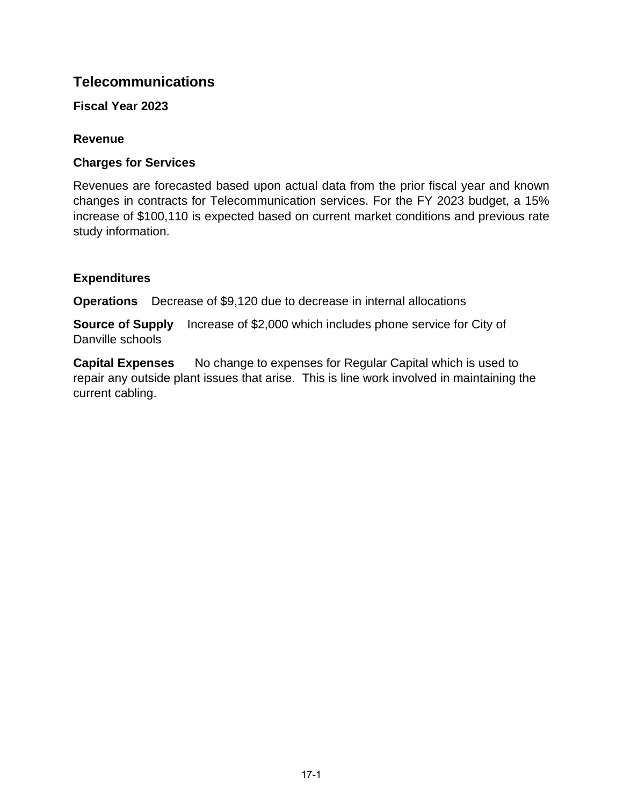# **Telecommunications**

**Fiscal Year 2023**

## **Revenue**

## **Charges for Services**

Revenues are forecasted based upon actual data from the prior fiscal year and known changes in contracts for Telecommunication services. For the FY 2023 budget, a 15% increase of \$100,110 is expected based on current market conditions and previous rate study information.

## **Expenditures**

**Operations** Decrease of \$9,120 due to decrease in internal allocations

**Source of Supply** Increase of \$2,000 which includes phone service for City of Danville schools

**Capital Expenses** No change to expenses for Regular Capital which is used to repair any outside plant issues that arise. This is line work involved in maintaining the current cabling.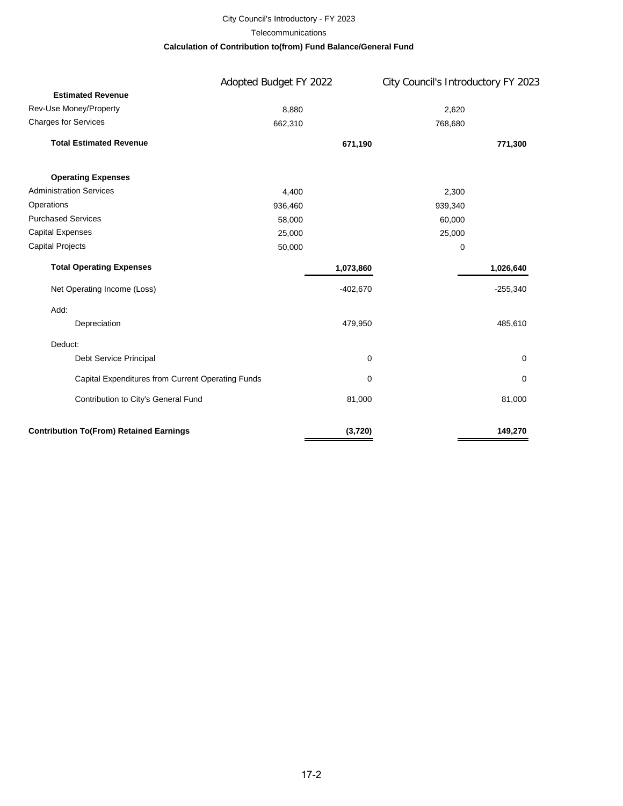# City Council's Introductory - FY 2023

#### **Telecommunications**

#### **Calculation of Contribution to(from) Fund Balance/General Fund**

|                                                   | Adopted Budget FY 2022 |            | City Council's Introductory FY 2023 |  |  |  |
|---------------------------------------------------|------------------------|------------|-------------------------------------|--|--|--|
| <b>Estimated Revenue</b>                          |                        |            |                                     |  |  |  |
| Rev-Use Money/Property                            | 8,880                  |            | 2,620                               |  |  |  |
| <b>Charges for Services</b>                       | 662,310                |            | 768,680                             |  |  |  |
| <b>Total Estimated Revenue</b>                    |                        | 671,190    | 771,300                             |  |  |  |
| <b>Operating Expenses</b>                         |                        |            |                                     |  |  |  |
| <b>Administration Services</b>                    | 4,400                  |            | 2,300                               |  |  |  |
| Operations                                        | 936,460                |            | 939,340                             |  |  |  |
| <b>Purchased Services</b>                         | 58,000                 |            | 60,000                              |  |  |  |
| <b>Capital Expenses</b>                           | 25,000                 |            | 25,000                              |  |  |  |
| <b>Capital Projects</b>                           | 50,000                 |            | 0                                   |  |  |  |
| <b>Total Operating Expenses</b>                   |                        | 1,073,860  | 1,026,640                           |  |  |  |
| Net Operating Income (Loss)                       |                        | $-402,670$ | $-255,340$                          |  |  |  |
| Add:                                              |                        |            |                                     |  |  |  |
| Depreciation                                      |                        | 479,950    | 485,610                             |  |  |  |
| Deduct:                                           |                        |            |                                     |  |  |  |
| Debt Service Principal                            |                        | 0          | 0                                   |  |  |  |
| Capital Expenditures from Current Operating Funds |                        | 0          | 0                                   |  |  |  |
| Contribution to City's General Fund               |                        | 81,000     | 81,000                              |  |  |  |
| <b>Contribution To(From) Retained Earnings</b>    |                        | (3,720)    | 149,270                             |  |  |  |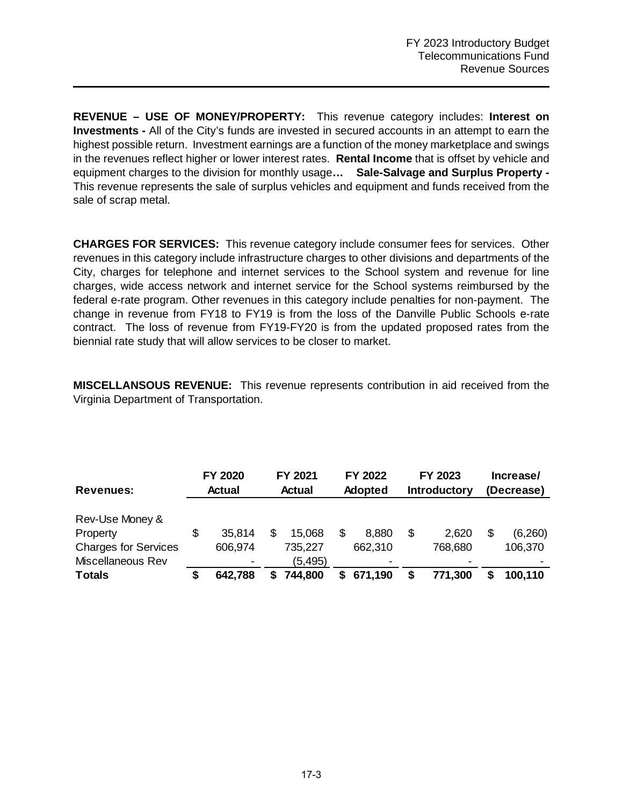**REVENUE – USE OF MONEY/PROPERTY:** This revenue category includes: **Interest on Investments -** All of the City's funds are invested in secured accounts in an attempt to earn the highest possible return. Investment earnings are a function of the money marketplace and swings in the revenues reflect higher or lower interest rates. **Rental Income** that is offset by vehicle and equipment charges to the division for monthly usage**… Sale-Salvage and Surplus Property -**  This revenue represents the sale of surplus vehicles and equipment and funds received from the sale of scrap metal.

**CHARGES FOR SERVICES:** This revenue category include consumer fees for services. Other revenues in this category include infrastructure charges to other divisions and departments of the City, charges for telephone and internet services to the School system and revenue for line charges, wide access network and internet service for the School systems reimbursed by the federal e-rate program. Other revenues in this category include penalties for non-payment. The change in revenue from FY18 to FY19 is from the loss of the Danville Public Schools e-rate contract. The loss of revenue from FY19-FY20 is from the updated proposed rates from the biennial rate study that will allow services to be closer to market.

**MISCELLANSOUS REVENUE:** This revenue represents contribution in aid received from the Virginia Department of Transportation.

| <b>Revenues:</b>            | <b>FY 2020</b><br><b>Actual</b> |         | FY 2021<br><b>Actual</b> |          | FY 2022<br><b>Adopted</b> |         | FY 2023<br><b>Introductory</b> |         | Increase/<br>(Decrease) |         |  |
|-----------------------------|---------------------------------|---------|--------------------------|----------|---------------------------|---------|--------------------------------|---------|-------------------------|---------|--|
| Rev-Use Money &             |                                 |         |                          |          |                           |         |                                |         |                         |         |  |
| Property                    | S                               | 35,814  |                          | 15.068   | S                         | 8,880   | S                              | 2,620   |                         | (6,260) |  |
| <b>Charges for Services</b> |                                 | 606,974 |                          | 735,227  |                           | 662,310 |                                | 768,680 |                         | 106,370 |  |
| Miscellaneous Rev           |                                 |         |                          | (5, 495) |                           |         |                                |         |                         |         |  |
| <b>Totals</b>               |                                 | 642.788 | S                        | 744,800  | S.                        | 671,190 |                                | 771,300 |                         | 100,110 |  |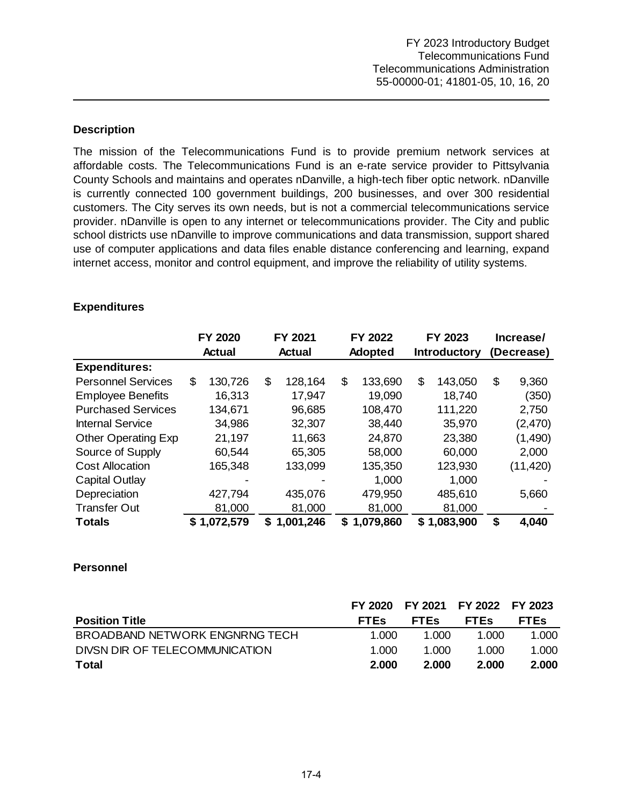### **Description**

The mission of the Telecommunications Fund is to provide premium network services at affordable costs. The Telecommunications Fund is an e-rate service provider to Pittsylvania County Schools and maintains and operates nDanville, a high-tech fiber optic network. nDanville is currently connected 100 government buildings, 200 businesses, and over 300 residential customers. The City serves its own needs, but is not a commercial telecommunications service provider. nDanville is open to any internet or telecommunications provider. The City and public school districts use nDanville to improve communications and data transmission, support shared use of computer applications and data files enable distance conferencing and learning, expand internet access, monitor and control equipment, and improve the reliability of utility systems.

|                            | <b>FY 2020</b> |           | FY 2021 |               | FY 2022 |                | FY 2023 |                     | Increase/ |            |  |
|----------------------------|----------------|-----------|---------|---------------|---------|----------------|---------|---------------------|-----------|------------|--|
|                            | <b>Actual</b>  |           |         | <b>Actual</b> |         | <b>Adopted</b> |         | <b>Introductory</b> |           | (Decrease) |  |
| <b>Expenditures:</b>       |                |           |         |               |         |                |         |                     |           |            |  |
| <b>Personnel Services</b>  | \$             | 130,726   | \$      | 128,164       | \$      | 133,690        | \$      | 143,050             | \$        | 9,360      |  |
| <b>Employee Benefits</b>   |                | 16,313    |         | 17,947        |         | 19,090         |         | 18,740              |           | (350)      |  |
| <b>Purchased Services</b>  |                | 134,671   |         | 96,685        |         | 108,470        |         | 111,220             |           | 2,750      |  |
| <b>Internal Service</b>    |                | 34,986    |         | 32,307        |         | 38,440         |         | 35,970              |           | (2,470)    |  |
| <b>Other Operating Exp</b> |                | 21,197    |         | 11,663        |         | 24,870         |         | 23,380              |           | (1,490)    |  |
| Source of Supply           |                | 60,544    |         | 65,305        |         | 58,000         |         | 60,000              |           | 2,000      |  |
| <b>Cost Allocation</b>     |                | 165,348   |         | 133,099       |         | 135,350        |         | 123,930             |           | (11, 420)  |  |
| Capital Outlay             |                |           |         |               |         | 1,000          |         | 1,000               |           |            |  |
| Depreciation               |                | 427,794   |         | 435,076       |         | 479,950        |         | 485,610             |           | 5,660      |  |
| <b>Transfer Out</b>        |                | 81,000    |         | 81,000        |         | 81,000         |         | 81,000              |           |            |  |
| <b>Totals</b>              | S.             | 1,072,579 | S.      | 1,001,246     |         | \$1,079,860    |         | \$1,083,900         | \$        | 4,040      |  |

### **Expenditures**

### **Personnel**

|                                |             | FY 2020 FY 2021 FY 2022 FY 2023 |             |             |
|--------------------------------|-------------|---------------------------------|-------------|-------------|
| <b>Position Title</b>          | <b>FTES</b> | <b>FTES</b>                     | <b>FTES</b> | <b>FTES</b> |
| BROADBAND NETWORK ENGNRNG TECH | 1.000       | 1.000                           | 1.000       | 1.000       |
| DIVSN DIR OF TELECOMMUNICATION | 1.000       | 1.000                           | 1.000       | 1.000       |
| Total                          | 2.000       | 2.000                           | 2.000       | 2.000       |